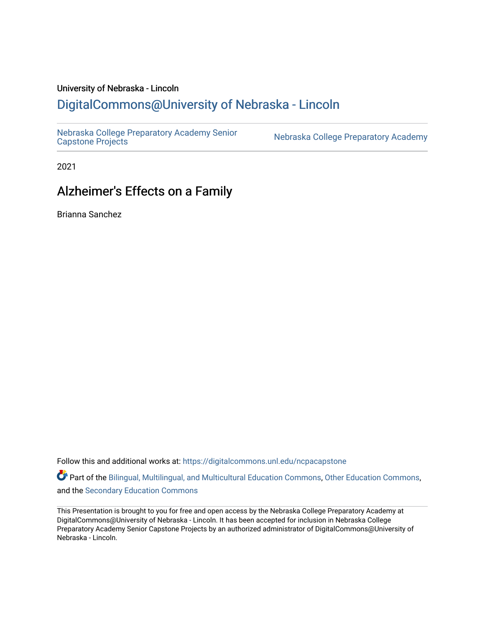### University of Nebraska - Lincoln [DigitalCommons@University of Nebraska - Lincoln](https://digitalcommons.unl.edu/)

[Nebraska College Preparatory Academy Senior](https://digitalcommons.unl.edu/ncpacapstone) 

Nebraska College Preparatory Academy

2021

### Alzheimer's Effects on a Family

Brianna Sanchez

Follow this and additional works at: [https://digitalcommons.unl.edu/ncpacapstone](https://digitalcommons.unl.edu/ncpacapstone?utm_source=digitalcommons.unl.edu%2Fncpacapstone%2F215&utm_medium=PDF&utm_campaign=PDFCoverPages) 

Part of the [Bilingual, Multilingual, and Multicultural Education Commons,](https://network.bepress.com/hgg/discipline/785?utm_source=digitalcommons.unl.edu%2Fncpacapstone%2F215&utm_medium=PDF&utm_campaign=PDFCoverPages) [Other Education Commons,](https://network.bepress.com/hgg/discipline/811?utm_source=digitalcommons.unl.edu%2Fncpacapstone%2F215&utm_medium=PDF&utm_campaign=PDFCoverPages) and the [Secondary Education Commons](https://network.bepress.com/hgg/discipline/1382?utm_source=digitalcommons.unl.edu%2Fncpacapstone%2F215&utm_medium=PDF&utm_campaign=PDFCoverPages) 

This Presentation is brought to you for free and open access by the Nebraska College Preparatory Academy at DigitalCommons@University of Nebraska - Lincoln. It has been accepted for inclusion in Nebraska College Preparatory Academy Senior Capstone Projects by an authorized administrator of DigitalCommons@University of Nebraska - Lincoln.